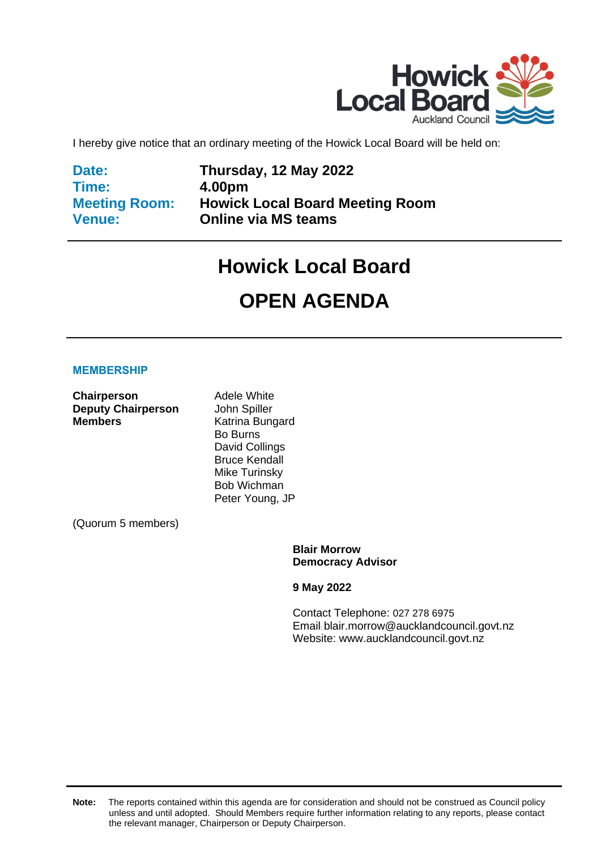

I hereby give notice that an ordinary meeting of the Howick Local Board will be held on:

**Date: Time: Meeting Room: Venue:**

**Thursday, 12 May 2022 4.00pm Howick Local Board Meeting Room Online via MS teams**

# **Howick Local Board**

# **OPEN AGENDA**

#### **MEMBERSHIP**

**Chairperson** Adele White **Deputy Chairperson** John Spiller **Members** Katrina Bungard

Bo Burns David Collings Bruce Kendall Mike Turinsky Bob Wichman Peter Young, JP

(Quorum 5 members)

**Blair Morrow Democracy Advisor**

**9 May 2022**

Contact Telephone: 027 278 6975 Email: blair.morrow@aucklandcouncil.govt.nz Website: www.aucklandcouncil.govt.nz

**Note:** The reports contained within this agenda are for consideration and should not be construed as Council policy unless and until adopted. Should Members require further information relating to any reports, please contact the relevant manager, Chairperson or Deputy Chairperson.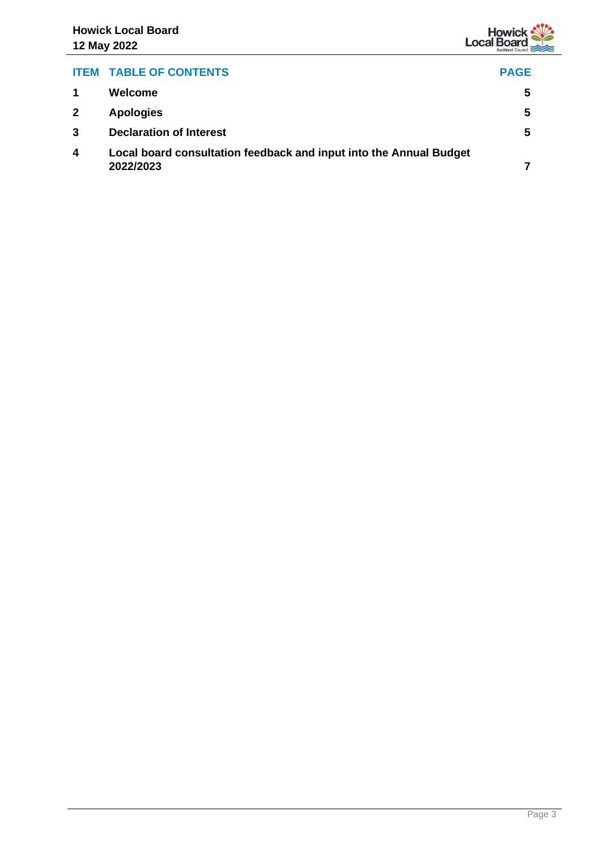

### **ITEM TABLE OF CONTENTS PAGE**

|   | Welcome                                                                         | 5 |
|---|---------------------------------------------------------------------------------|---|
| 2 | <b>Apologies</b>                                                                | 5 |
|   | <b>Declaration of Interest</b>                                                  | 5 |
| 4 | Local board consultation feedback and input into the Annual Budget<br>2022/2023 |   |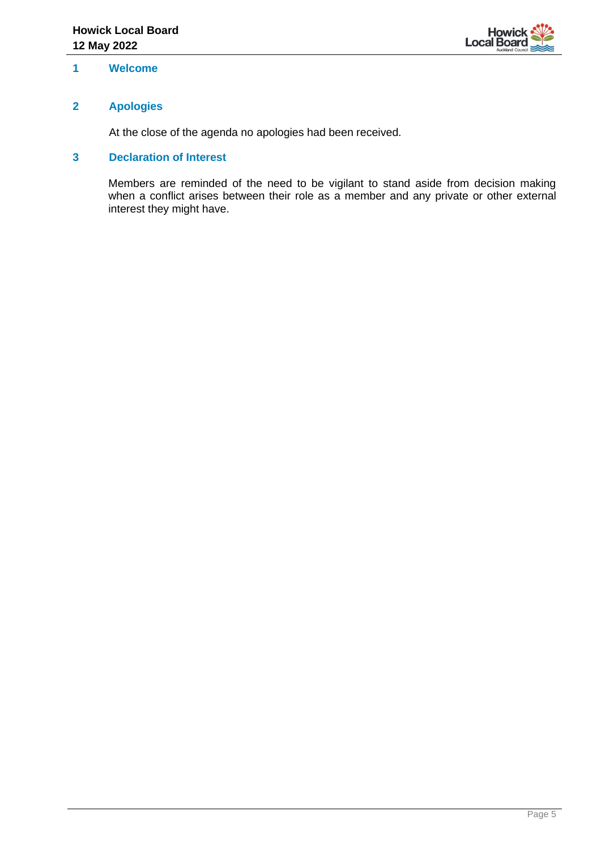

#### <span id="page-4-0"></span>**1 Welcome**

#### <span id="page-4-1"></span>**2 Apologies**

At the close of the agenda no apologies had been received.

#### <span id="page-4-2"></span>**3 Declaration of Interest**

Members are reminded of the need to be vigilant to stand aside from decision making when a conflict arises between their role as a member and any private or other external interest they might have.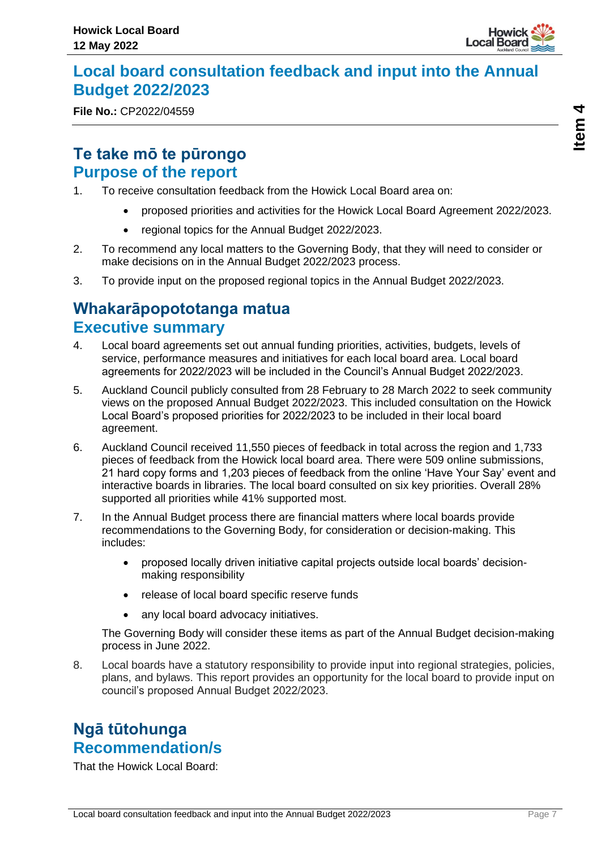

# <span id="page-6-0"></span>**Local board consultation feedback and input into the Annual Budget 2022/2023**

**File No.:** CP2022/04559

# **Te take mō te pūrongo Purpose of the report**

- 1. To receive consultation feedback from the Howick Local Board area on:
	- proposed priorities and activities for the Howick Local Board Agreement 2022/2023.
	- regional topics for the Annual Budget 2022/2023.
- 2. To recommend any local matters to the Governing Body, that they will need to consider or make decisions on in the Annual Budget 2022/2023 process.
- 3. To provide input on the proposed regional topics in the Annual Budget 2022/2023.

# **Whakarāpopototanga matua Executive summary**

- 4. Local board agreements set out annual funding priorities, activities, budgets, levels of service, performance measures and initiatives for each local board area. Local board agreements for 2022/2023 will be included in the Council's Annual Budget 2022/2023.
- 5. Auckland Council publicly consulted from 28 February to 28 March 2022 to seek community views on the proposed Annual Budget 2022/2023. This included consultation on the Howick Local Board's proposed priorities for 2022/2023 to be included in their local board agreement.
- 6. Auckland Council received 11,550 pieces of feedback in total across the region and 1,733 pieces of feedback from the Howick local board area. There were 509 online submissions, 21 hard copy forms and 1,203 pieces of feedback from the online 'Have Your Say' event and interactive boards in libraries. The local board consulted on six key priorities. Overall 28% supported all priorities while 41% supported most.
- 7. In the Annual Budget process there are financial matters where local boards provide recommendations to the Governing Body, for consideration or decision-making. This includes:
	- proposed locally driven initiative capital projects outside local boards' decisionmaking responsibility
	- release of local board specific reserve funds
	- any local board advocacy initiatives.

The Governing Body will consider these items as part of the Annual Budget decision-making process in June 2022.

8. Local boards have a statutory responsibility to provide input into regional strategies, policies, plans, and bylaws. This report provides an opportunity for the local board to provide input on council's proposed Annual Budget 2022/2023.

# **Ngā tūtohunga Recommendation/s**

That the Howick Local Board: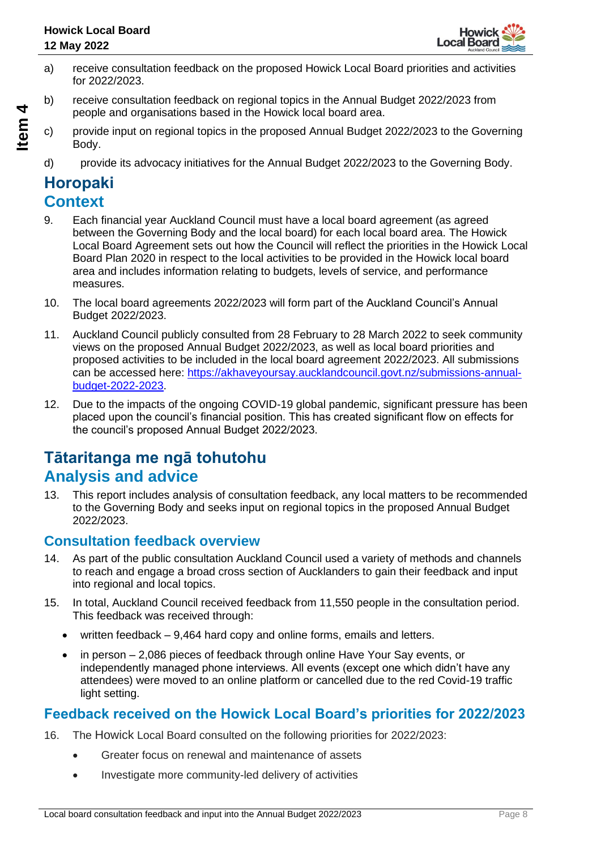

- a) receive consultation feedback on the proposed Howick Local Board priorities and activities for 2022/2023.
- b) receive consultation feedback on regional topics in the Annual Budget 2022/2023 from people and organisations based in the Howick local board area.
- c) provide input on regional topics in the proposed Annual Budget 2022/2023 to the Governing Body.
- d) provide its advocacy initiatives for the Annual Budget 2022/2023 to the Governing Body.

# **Horopaki Context**

- 9. Each financial year Auckland Council must have a local board agreement (as agreed between the Governing Body and the local board) for each local board area. The Howick Local Board Agreement sets out how the Council will reflect the priorities in the Howick Local Board Plan 2020 in respect to the local activities to be provided in the Howick local board area and includes information relating to budgets, levels of service, and performance measures.
- 10. The local board agreements 2022/2023 will form part of the Auckland Council's Annual Budget 2022/2023.
- 11. Auckland Council publicly consulted from 28 February to 28 March 2022 to seek community views on the proposed Annual Budget 2022/2023, as well as local board priorities and proposed activities to be included in the local board agreement 2022/2023. All submissions can be accessed here: [https://akhaveyoursay.aucklandcouncil.govt.nz/submissions-annual](https://akhaveyoursay.aucklandcouncil.govt.nz/submissions-annual-budget-2022-2023)[budget-2022-2023.](https://akhaveyoursay.aucklandcouncil.govt.nz/submissions-annual-budget-2022-2023)
- 12. Due to the impacts of the ongoing COVID-19 global pandemic, significant pressure has been placed upon the council's financial position. This has created significant flow on effects for the council's proposed Annual Budget 2022/2023.

# **Tātaritanga me ngā tohutohu Analysis and advice**

13. This report includes analysis of consultation feedback, any local matters to be recommended to the Governing Body and seeks input on regional topics in the proposed Annual Budget 2022/2023.

### **Consultation feedback overview**

- 14. As part of the public consultation Auckland Council used a variety of methods and channels to reach and engage a broad cross section of Aucklanders to gain their feedback and input into regional and local topics.
- 15. In total, Auckland Council received feedback from 11,550 people in the consultation period. This feedback was received through:
	- written feedback 9,464 hard copy and online forms, emails and letters.
	- in person 2,086 pieces of feedback through online Have Your Say events, or independently managed phone interviews. All events (except one which didn't have any attendees) were moved to an online platform or cancelled due to the red Covid-19 traffic light setting.

# **Feedback received on the Howick Local Board's priorities for 2022/2023**

- 16. The Howick Local Board consulted on the following priorities for 2022/2023:
	- Greater focus on renewal and maintenance of assets
	- Investigate more community-led delivery of activities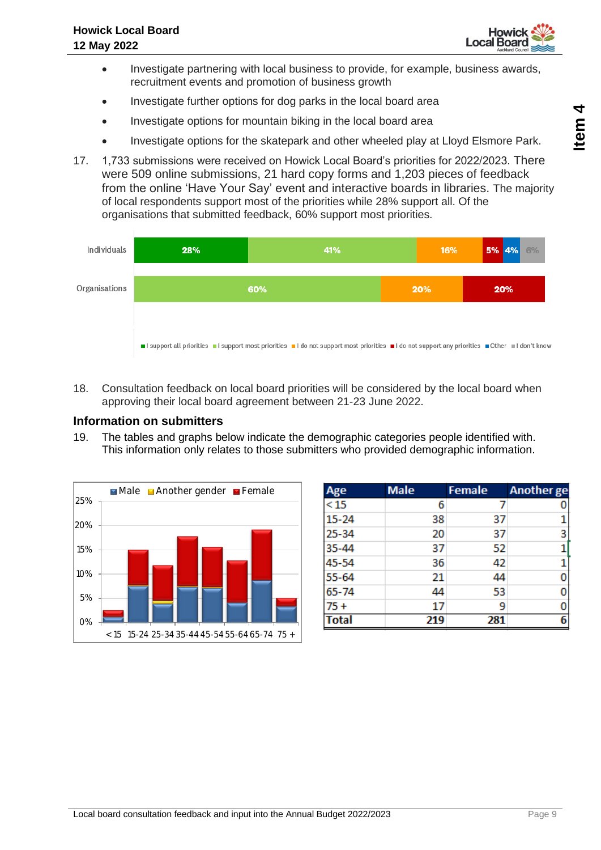

- Investigate partnering with local business to provide, for example, business awards, recruitment events and promotion of business growth
- Investigate further options for dog parks in the local board area
- Investigate options for mountain biking in the local board area
- Investigate options for the skatepark and other wheeled play at Lloyd Elsmore Park.
- 17. 1,733 submissions were received on Howick Local Board's priorities for 2022/2023. There were 509 online submissions, 21 hard copy forms and 1,203 pieces of feedback from the online 'Have Your Say' event and interactive boards in libraries. The majority of local respondents support most of the priorities while 28% support all. Of the organisations that submitted feedback, 60% support most priorities.



18. Consultation feedback on local board priorities will be considered by the local board when approving their local board agreement between 21-23 June 2022.

#### **Information on submitters**

19. The tables and graphs below indicate the demographic categories people identified with. This information only relates to those submitters who provided demographic information.



| Age          | <b>Male</b> | <b>Female</b> | <b>Another</b> ge |
|--------------|-------------|---------------|-------------------|
| <15          | 6           | 7             |                   |
| $15 - 24$    | 38          | 37            |                   |
| 25-34        | 20          | 37            | 3                 |
| 35-44        | 37          | 52            |                   |
| 45-54        | 36          | 42            |                   |
| $55 - 64$    | 21          | 44            |                   |
| 65-74        | 44          | 53            | 0                 |
| $75+$        | 17          | 9             |                   |
| <b>Total</b> | 219         | 281           | 6                 |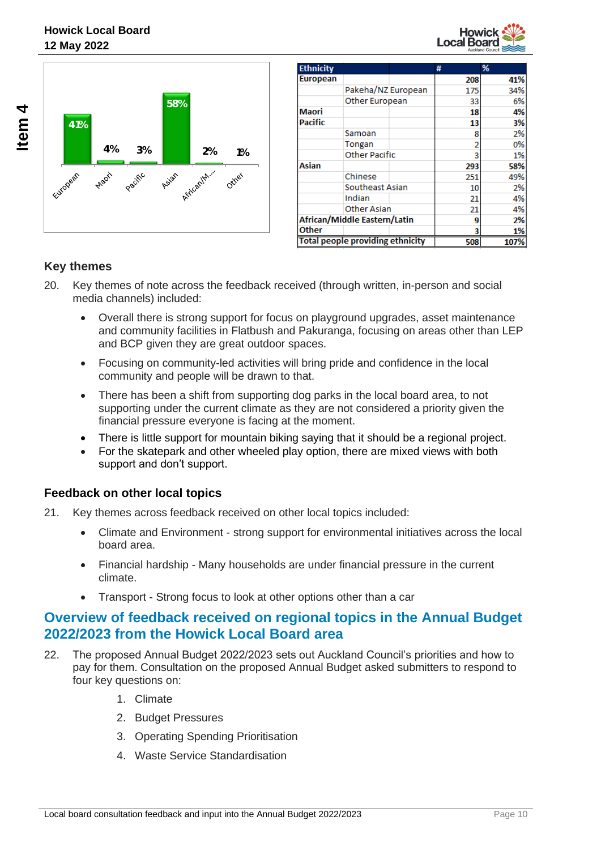



| <b>Ethnicity</b>                        |                       |     | #    | %   |
|-----------------------------------------|-----------------------|-----|------|-----|
| <b>European</b>                         |                       |     | 208  | 41% |
|                                         | Pakeha/NZ European    |     | 175  | 34% |
|                                         | <b>Other European</b> |     | 33   | 6%  |
| <b>Maori</b>                            |                       |     | 18   | 4%  |
| Pacific                                 |                       |     | 13   | 3%  |
|                                         | Samoan                |     | 8    | 2%  |
|                                         | Tongan                |     |      | 0%  |
|                                         | <b>Other Pacific</b>  |     |      | 1%  |
| Asian                                   |                       |     | 293  | 58% |
|                                         | Chinese               |     | 251  | 49% |
|                                         | Southeast Asian       |     | 10   | 2%  |
|                                         | Indian                |     | 21   | 4%  |
|                                         | Other Asian           |     | 21   | 4%  |
| African/Middle Eastern/Latin            |                       | q   | 2%   |     |
| Other                                   |                       |     |      | 1%  |
| <b>Total people providing ethnicity</b> |                       | 508 | 107% |     |

#### **Key themes**

- 20. Key themes of note across the feedback received (through written, in-person and social media channels) included:
	- Overall there is strong support for focus on playground upgrades, asset maintenance and community facilities in Flatbush and Pakuranga, focusing on areas other than LEP and BCP given they are great outdoor spaces.
	- Focusing on community-led activities will bring pride and confidence in the local community and people will be drawn to that.
	- There has been a shift from supporting dog parks in the local board area, to not supporting under the current climate as they are not considered a priority given the financial pressure everyone is facing at the moment.
	- There is little support for mountain biking saying that it should be a regional project.
	- For the skatepark and other wheeled play option, there are mixed views with both support and don't support.

#### **Feedback on other local topics**

- 21. Key themes across feedback received on other local topics included:
	- Climate and Environment strong support for environmental initiatives across the local board area.
	- Financial hardship Many households are under financial pressure in the current climate.
	- Transport Strong focus to look at other options other than a car

### **Overview of feedback received on regional topics in the Annual Budget 2022/2023 from the Howick Local Board area**

- 22. The proposed Annual Budget 2022/2023 sets out Auckland Council's priorities and how to pay for them. Consultation on the proposed Annual Budget asked submitters to respond to four key questions on:
	- 1. Climate
	- 2. Budget Pressures
	- 3. Operating Spending Prioritisation
	- 4. Waste Service Standardisation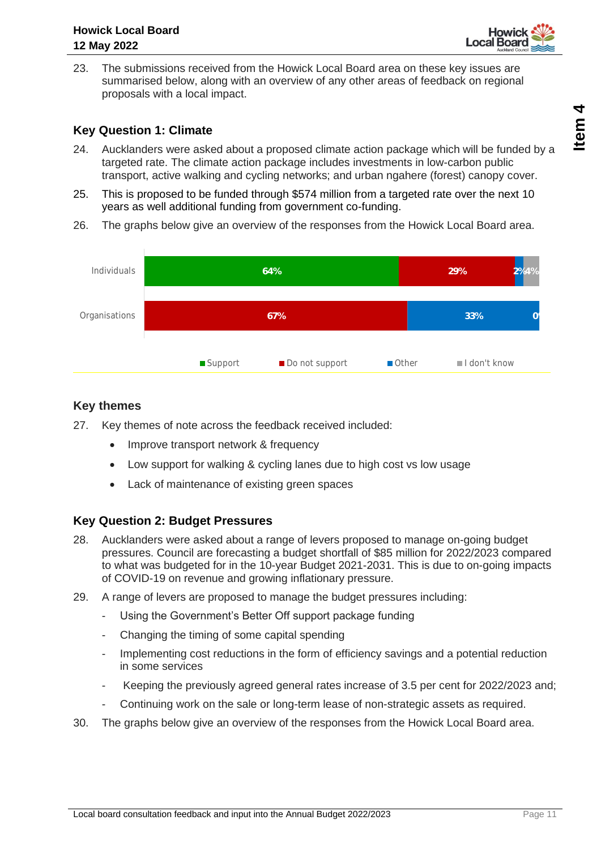

23. The submissions received from the Howick Local Board area on these key issues are summarised below, along with an overview of any other areas of feedback on regional proposals with a local impact.

#### **Key Question 1: Climate**

- 24. Aucklanders were asked about a proposed climate action package which will be funded by a targeted rate. The climate action package includes investments in low-carbon public transport, active walking and cycling networks; and urban ngahere (forest) canopy cover.
- 25. This is proposed to be funded through \$574 million from a targeted rate over the next 10 years as well additional funding from government co-funding.
- 26. The graphs below give an overview of the responses from the Howick Local Board area.



#### **Key themes**

- 27. Key themes of note across the feedback received included:
	- Improve transport network & frequency
	- Low support for walking & cycling lanes due to high cost vs low usage
	- Lack of maintenance of existing green spaces

#### **Key Question 2: Budget Pressures**

- 28. Aucklanders were asked about a range of levers proposed to manage on-going budget pressures. Council are forecasting a budget shortfall of \$85 million for 2022/2023 compared to what was budgeted for in the 10-year Budget 2021-2031. This is due to on-going impacts of COVID-19 on revenue and growing inflationary pressure.
- 29. A range of levers are proposed to manage the budget pressures including:
	- Using the Government's Better Off support package funding
	- Changing the timing of some capital spending
	- Implementing cost reductions in the form of efficiency savings and a potential reduction in some services
	- Keeping the previously agreed general rates increase of 3.5 per cent for 2022/2023 and;
	- Continuing work on the sale or long-term lease of non-strategic assets as required.
- 30. The graphs below give an overview of the responses from the Howick Local Board area.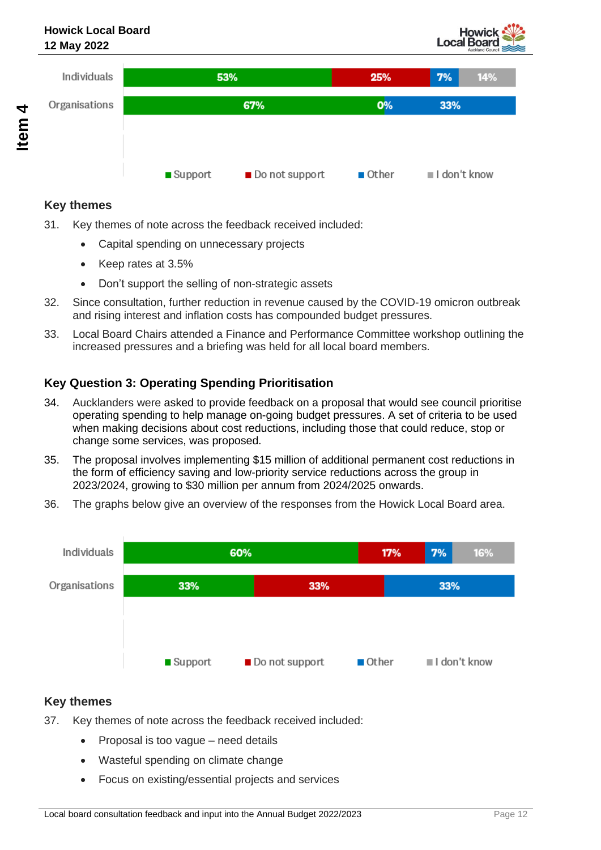



#### **Key themes**

- 31. Key themes of note across the feedback received included:
	- Capital spending on unnecessary projects
	- Keep rates at 3.5%
	- Don't support the selling of non-strategic assets
- 32. Since consultation, further reduction in revenue caused by the COVID-19 omicron outbreak and rising interest and inflation costs has compounded budget pressures.
- 33. Local Board Chairs attended a Finance and Performance Committee workshop outlining the increased pressures and a briefing was held for all local board members.

#### **Key Question 3: Operating Spending Prioritisation**

- 34. Aucklanders were asked to provide feedback on a proposal that would see council prioritise operating spending to help manage on-going budget pressures. A set of criteria to be used when making decisions about cost reductions, including those that could reduce, stop or change some services, was proposed.
- 35. The proposal involves implementing \$15 million of additional permanent cost reductions in the form of efficiency saving and low-priority service reductions across the group in 2023/2024, growing to \$30 million per annum from 2024/2025 onwards.
- 36. The graphs below give an overview of the responses from the Howick Local Board area.



#### **Key themes**

- 37. Key themes of note across the feedback received included:
	- Proposal is too vague need details
	- Wasteful spending on climate change
	- Focus on existing/essential projects and services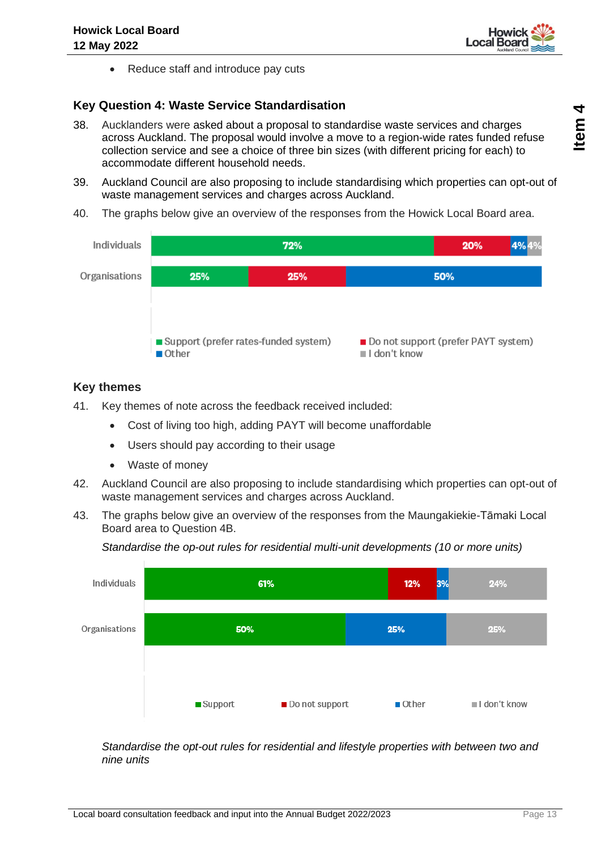

• Reduce staff and introduce pay cuts

#### **Key Question 4: Waste Service Standardisation**

- 38. Aucklanders were asked about a proposal to standardise waste services and charges across Auckland. The proposal would involve a move to a region-wide rates funded refuse collection service and see a choice of three bin sizes (with different pricing for each) to accommodate different household needs.
- 39. Auckland Council are also proposing to include standardising which properties can opt-out of waste management services and charges across Auckland.
- 40. The graphs below give an overview of the responses from the Howick Local Board area.



#### **Key themes**

- 41. Key themes of note across the feedback received included:
	- Cost of living too high, adding PAYT will become unaffordable
	- Users should pay according to their usage
	- Waste of money
- 42. Auckland Council are also proposing to include standardising which properties can opt-out of waste management services and charges across Auckland.
- 43. The graphs below give an overview of the responses from the Maungakiekie-Tāmaki Local Board area to Question 4B.



*Standardise the op-out rules for residential multi-unit developments (10 or more units)*

*Standardise the opt-out rules for residential and lifestyle properties with between two and nine units*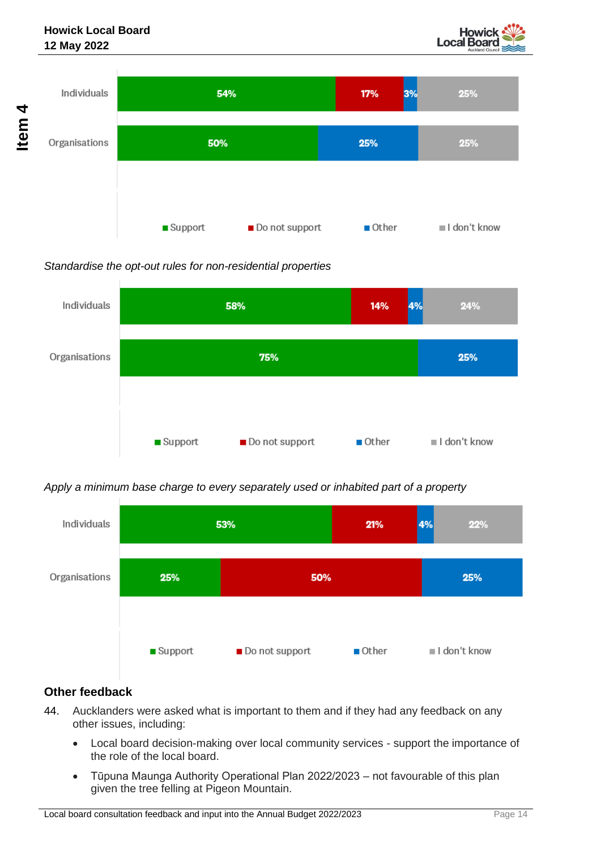



#### *Standardise the opt-out rules for non-residential properties*



#### *Apply a minimum base charge to every separately used or inhabited part of a property*



#### **Other feedback**

- 44. Aucklanders were asked what is important to them and if they had any feedback on any other issues, including:
	- Local board decision-making over local community services support the importance of the role of the local board.
	- Tūpuna Maunga Authority Operational Plan 2022/2023 not favourable of this plan given the tree felling at Pigeon Mountain.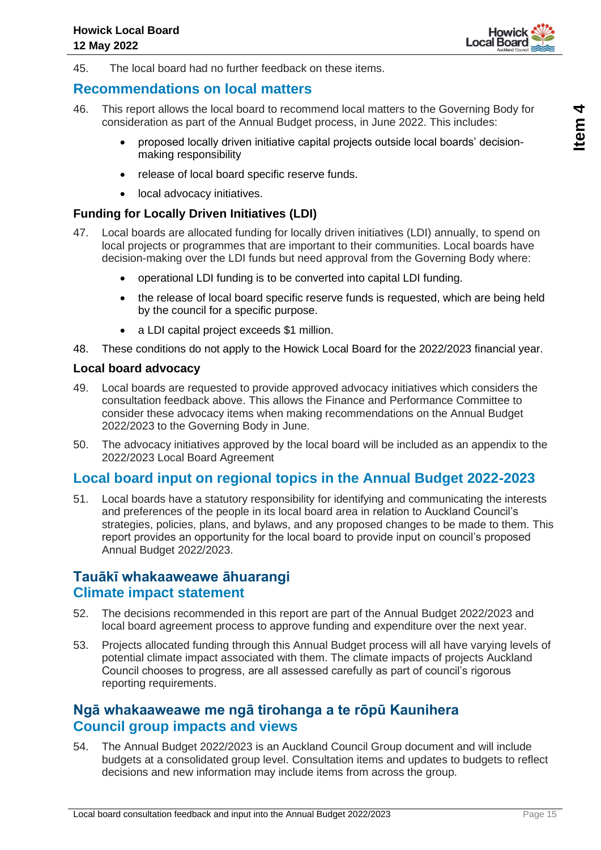

45. The local board had no further feedback on these items.

### **Recommendations on local matters**

- 46. This report allows the local board to recommend local matters to the Governing Body for consideration as part of the Annual Budget process, in June 2022. This includes:
	- proposed locally driven initiative capital projects outside local boards' decisionmaking responsibility
	- release of local board specific reserve funds.
	- local advocacy initiatives.

#### **Funding for Locally Driven Initiatives (LDI)**

- 47. Local boards are allocated funding for locally driven initiatives (LDI) annually, to spend on local projects or programmes that are important to their communities. Local boards have decision-making over the LDI funds but need approval from the Governing Body where:
	- operational LDI funding is to be converted into capital LDI funding.
	- the release of local board specific reserve funds is requested, which are being held by the council for a specific purpose.
	- a LDI capital project exceeds \$1 million.
- 48. These conditions do not apply to the Howick Local Board for the 2022/2023 financial year.

#### **Local board advocacy**

- 49. Local boards are requested to provide approved advocacy initiatives which considers the consultation feedback above. This allows the Finance and Performance Committee to consider these advocacy items when making recommendations on the Annual Budget 2022/2023 to the Governing Body in June.
- 50. The advocacy initiatives approved by the local board will be included as an appendix to the 2022/2023 Local Board Agreement

#### **Local board input on regional topics in the Annual Budget 2022-2023**

51. Local boards have a statutory responsibility for identifying and communicating the interests and preferences of the people in its local board area in relation to Auckland Council's strategies, policies, plans, and bylaws, and any proposed changes to be made to them. This report provides an opportunity for the local board to provide input on council's proposed Annual Budget 2022/2023.

### **Tauākī whakaaweawe āhuarangi Climate impact statement**

- 52. The decisions recommended in this report are part of the Annual Budget 2022/2023 and local board agreement process to approve funding and expenditure over the next year.
- 53. Projects allocated funding through this Annual Budget process will all have varying levels of potential climate impact associated with them. The climate impacts of projects Auckland Council chooses to progress, are all assessed carefully as part of council's rigorous reporting requirements.

### **Ngā whakaaweawe me ngā tirohanga a te rōpū Kaunihera Council group impacts and views**

54. The Annual Budget 2022/2023 is an Auckland Council Group document and will include budgets at a consolidated group level. Consultation items and updates to budgets to reflect decisions and new information may include items from across the group.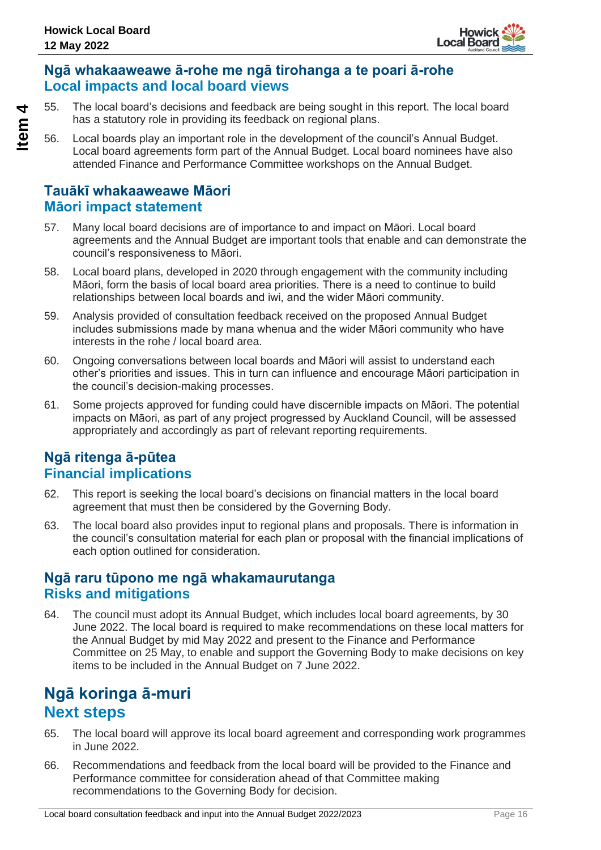

## **Ngā whakaaweawe ā-rohe me ngā tirohanga a te poari ā-rohe Local impacts and local board views**

55. The local board's decisions and feedback are being sought in this report. The local board has a statutory role in providing its feedback on regional plans.

56. Local boards play an important role in the development of the council's Annual Budget. Local board agreements form part of the Annual Budget. Local board nominees have also attended Finance and Performance Committee workshops on the Annual Budget.

# **Tauākī whakaaweawe Māori Māori impact statement**

- 57. Many local board decisions are of importance to and impact on Māori. Local board agreements and the Annual Budget are important tools that enable and can demonstrate the council's responsiveness to Māori.
- 58. Local board plans, developed in 2020 through engagement with the community including Māori, form the basis of local board area priorities. There is a need to continue to build relationships between local boards and iwi, and the wider Māori community.
- 59. Analysis provided of consultation feedback received on the proposed Annual Budget includes submissions made by mana whenua and the wider Māori community who have interests in the rohe / local board area.
- 60. Ongoing conversations between local boards and Māori will assist to understand each other's priorities and issues. This in turn can influence and encourage Māori participation in the council's decision-making processes.
- 61. Some projects approved for funding could have discernible impacts on Māori. The potential impacts on Māori, as part of any project progressed by Auckland Council, will be assessed appropriately and accordingly as part of relevant reporting requirements.

## **Ngā ritenga ā-pūtea Financial implications**

- 62. This report is seeking the local board's decisions on financial matters in the local board agreement that must then be considered by the Governing Body.
- 63. The local board also provides input to regional plans and proposals. There is information in the council's consultation material for each plan or proposal with the financial implications of each option outlined for consideration.

## **Ngā raru tūpono me ngā whakamaurutanga Risks and mitigations**

64. The council must adopt its Annual Budget, which includes local board agreements, by 30 June 2022. The local board is required to make recommendations on these local matters for the Annual Budget by mid May 2022 and present to the Finance and Performance Committee on 25 May, to enable and support the Governing Body to make decisions on key items to be included in the Annual Budget on 7 June 2022.

# **Ngā koringa ā-muri Next steps**

- 65. The local board will approve its local board agreement and corresponding work programmes in June 2022.
- 66. Recommendations and feedback from the local board will be provided to the Finance and Performance committee for consideration ahead of that Committee making recommendations to the Governing Body for decision.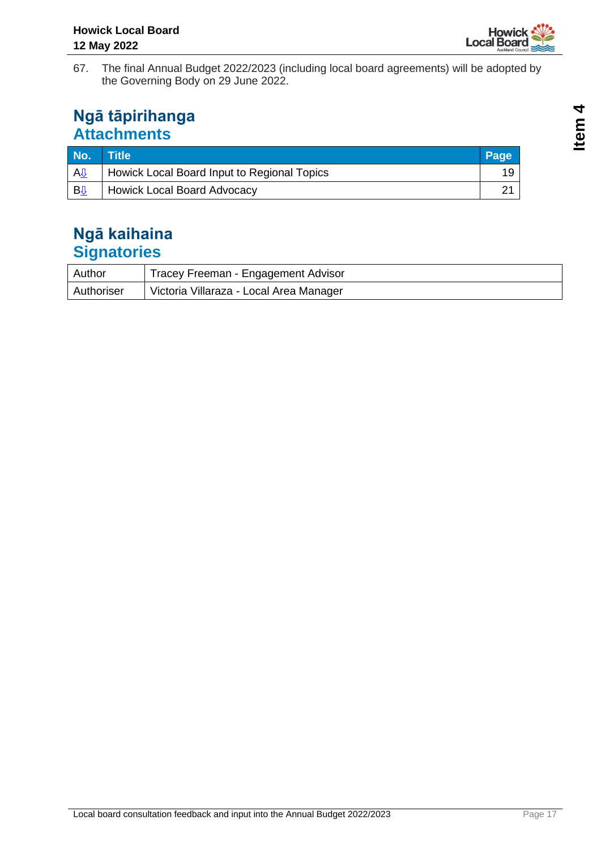

67. The final Annual Budget 2022/2023 (including local board agreements) will be adopted by the Governing Body on 29 June 2022.

# **Ngā tāpirihanga Attachments**

| No.                      | Title <sup>1</sup>                          | Page |
|--------------------------|---------------------------------------------|------|
| A <sub>U</sub>           | Howick Local Board Input to Regional Topics |      |
| $B_{\frac{\sqrt{3}}{2}}$ | Howick Local Board Advocacy                 |      |

# **Ngā kaihaina Signatories**

| Author     | Tracey Freeman - Engagement Advisor     |
|------------|-----------------------------------------|
| Authoriser | Victoria Villaraza - Local Area Manager |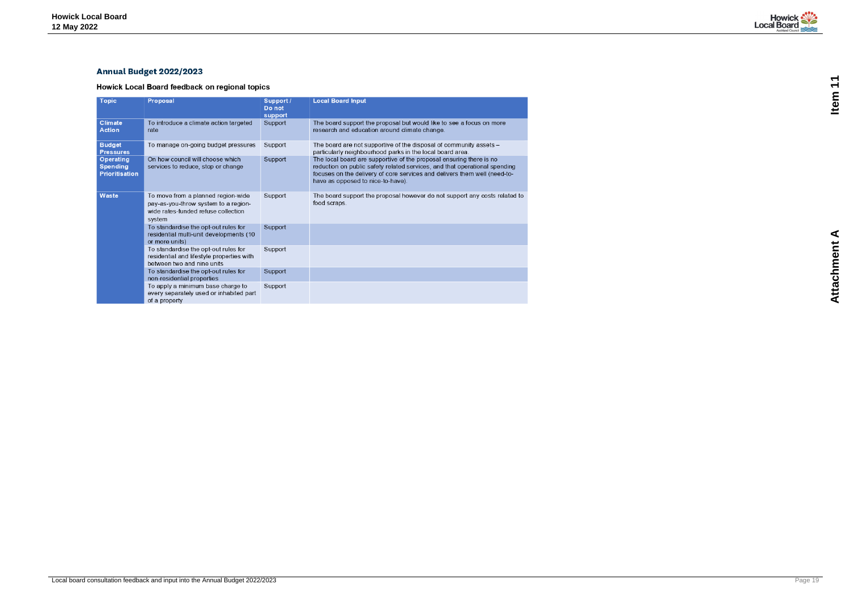# <span id="page-18-0"></span>**Annual Budget 2022/2023**

Howick Local Board feedback on regional topics

| <b>Topic</b>                                          | <b>Proposal</b>                                                                                                             | Support /<br>Do not<br>support | <b>Local Board Input</b>                                                                                                                                                                                                                                            |
|-------------------------------------------------------|-----------------------------------------------------------------------------------------------------------------------------|--------------------------------|---------------------------------------------------------------------------------------------------------------------------------------------------------------------------------------------------------------------------------------------------------------------|
| Climate<br><b>Action</b>                              | To introduce a climate action targeted<br>rate                                                                              | Support                        | The board support the proposal but would like to see a focus on more<br>research and education around climate change.                                                                                                                                               |
| <b>Budget</b><br><b>Pressures</b>                     | To manage on-going budget pressures                                                                                         | Support                        | The board are not supportive of the disposal of community assets -<br>particularly neighbourhood parks in the local board area.                                                                                                                                     |
| Operating<br><b>Spending</b><br><b>Prioritisation</b> | On how council will choose which<br>services to reduce, stop or change                                                      | Support                        | The local board are supportive of the proposal ensuring there is no<br>reduction on public safety related services, and that operational spending<br>focuses on the delivery of core services and delivers them well (need-to-<br>have as opposed to nice-to-have). |
| Waste                                                 | To move from a planned region-wide<br>pay-as-you-throw system to a region-<br>wide rates-funded refuse collection<br>system | Support                        | The board support the proposal however do not support any costs related to<br>food scraps.                                                                                                                                                                          |
|                                                       | To standardise the opt-out rules for<br>residential multi-unit developments (10<br>or more units)                           | Support                        |                                                                                                                                                                                                                                                                     |
|                                                       | To standardise the opt-out rules for<br>residential and lifestyle properties with<br>between two and nine units             | Support                        |                                                                                                                                                                                                                                                                     |
|                                                       | To standardise the opt-out rules for<br>non-residential properties                                                          | Support                        |                                                                                                                                                                                                                                                                     |
|                                                       | To apply a minimum base charge to<br>every separately used or inhabited part<br>of a property                               | Support                        |                                                                                                                                                                                                                                                                     |



**Attachment A Item 11**Attachment A